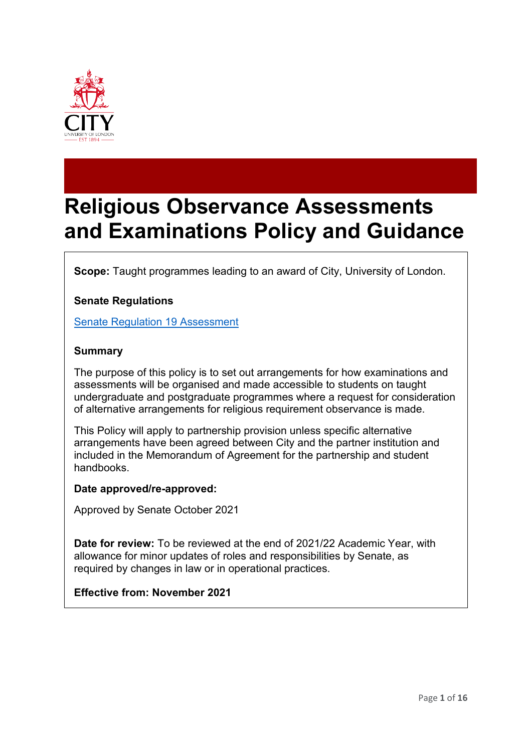

# **Religious Observance Assessments and Examinations Policy and Guidance**

**Scope:** Taught programmes leading to an award of City, University of London.

## **Senate Regulations**

[Senate Regulation 19 Assessment](http://www.city.ac.uk/__data/assets/word_doc/0003/69249/s19.doc)

#### **Summary**

The purpose of this policy is to set out arrangements for how examinations and assessments will be organised and made accessible to students on taught undergraduate and postgraduate programmes where a request for consideration of alternative arrangements for religious requirement observance is made.

This Policy will apply to partnership provision unless specific alternative arrangements have been agreed between City and the partner institution and included in the Memorandum of Agreement for the partnership and student handbooks.

#### **Date approved/re-approved:**

Approved by Senate October 2021

**Date for review:** To be reviewed at the end of 2021/22 Academic Year, with allowance for minor updates of roles and responsibilities by Senate, as required by changes in law or in operational practices.

#### **Effective from: November 2021**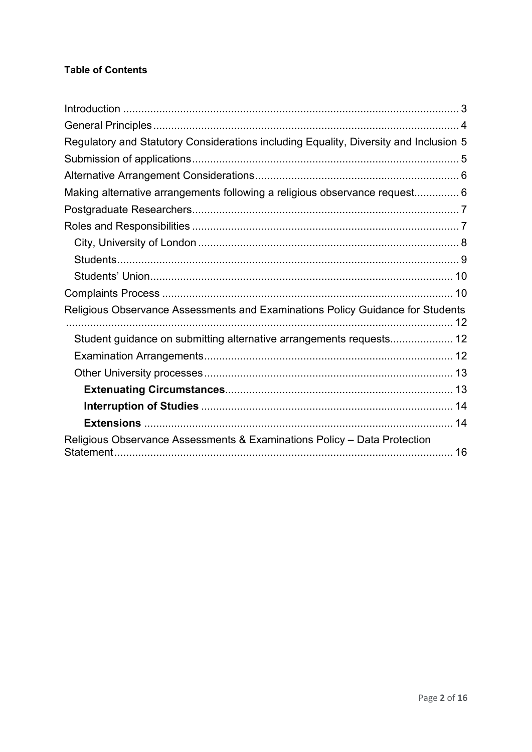# **Table of Contents**

| Regulatory and Statutory Considerations including Equality, Diversity and Inclusion 5 |  |
|---------------------------------------------------------------------------------------|--|
|                                                                                       |  |
|                                                                                       |  |
| Making alternative arrangements following a religious observance request 6            |  |
|                                                                                       |  |
|                                                                                       |  |
|                                                                                       |  |
|                                                                                       |  |
|                                                                                       |  |
|                                                                                       |  |
| Religious Observance Assessments and Examinations Policy Guidance for Students        |  |
| Student guidance on submitting alternative arrangements requests 12                   |  |
|                                                                                       |  |
|                                                                                       |  |
|                                                                                       |  |
|                                                                                       |  |
|                                                                                       |  |
| Religious Observance Assessments & Examinations Policy - Data Protection              |  |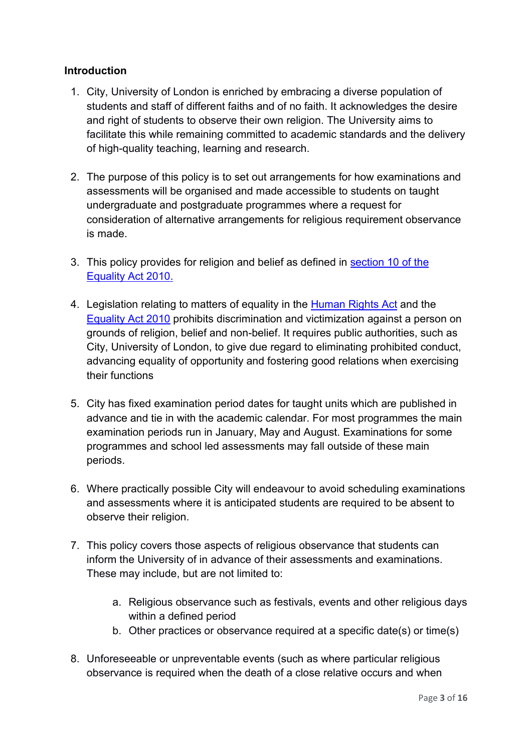# <span id="page-2-0"></span>**Introduction**

- 1. City, University of London is enriched by embracing a diverse population of students and staff of different faiths and of no faith. It acknowledges the desire and right of students to observe their own religion. The University aims to facilitate this while remaining committed to academic standards and the delivery of high-quality teaching, learning and research.
- 2. The purpose of this policy is to set out arrangements for how examinations and assessments will be organised and made accessible to students on taught undergraduate and postgraduate programmes where a request for consideration of alternative arrangements for religious requirement observance is made.
- 3. This policy provides for religion and belief as defined in [section 10 of the](https://www.legislation.gov.uk/ukpga/2010/15/section/10)  [Equality Act 2010.](https://www.legislation.gov.uk/ukpga/2010/15/section/10)
- 4. Legislation relating to matters of equality in the [Human Rights Act](https://www.legislation.gov.uk/ukpga/1998/42/schedule/1) and the [Equality Act 2010](https://www.legislation.gov.uk/ukpga/2010/15/contents) prohibits discrimination and victimization against a person on grounds of religion, belief and non-belief. It requires public authorities, such as City, University of London, to give due regard to eliminating prohibited conduct, advancing equality of opportunity and fostering good relations when exercising their functions
- 5. City has fixed examination period dates for taught units which are published in advance and tie in with the academic calendar. For most programmes the main examination periods run in January, May and August. Examinations for some programmes and school led assessments may fall outside of these main periods.
- 6. Where practically possible City will endeavour to avoid scheduling examinations and assessments where it is anticipated students are required to be absent to observe their religion.
- 7. This policy covers those aspects of religious observance that students can inform the University of in advance of their assessments and examinations. These may include, but are not limited to:
	- a. Religious observance such as festivals, events and other religious days within a defined period
	- b. Other practices or observance required at a specific date(s) or time(s)
- 8. Unforeseeable or unpreventable events (such as where particular religious observance is required when the death of a close relative occurs and when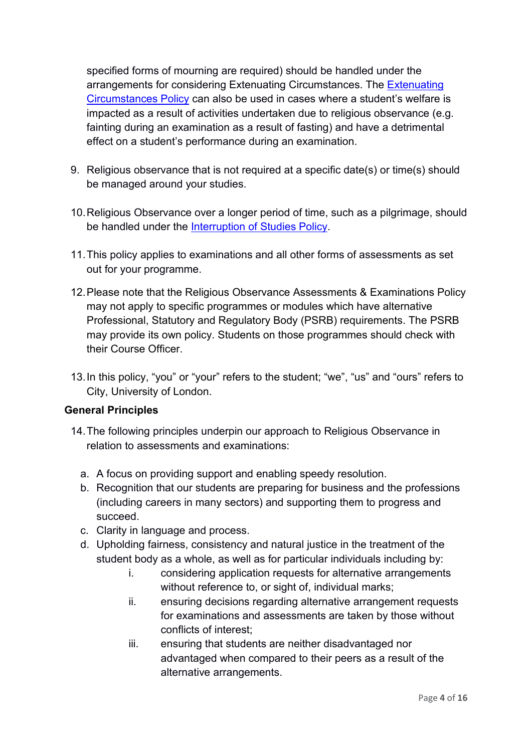specified forms of mourning are required) should be handled under the arrangements for considering Extenuating Circumstances. The [Extenuating](https://www.city.ac.uk/__data/assets/pdf_file/0005/372794/Extenuating-Circumstances-Policy-2020-21-for-Publication.pdf)  [Circumstances Policy](https://www.city.ac.uk/__data/assets/pdf_file/0005/372794/Extenuating-Circumstances-Policy-2020-21-for-Publication.pdf) can also be used in cases where a student's welfare is impacted as a result of activities undertaken due to religious observance (e.g. fainting during an examination as a result of fasting) and have a detrimental effect on a student's performance during an examination.

- 9. Religious observance that is not required at a specific date(s) or time(s) should be managed around your studies.
- 10.Religious Observance over a longer period of time, such as a pilgrimage, should be handled under the [Interruption of Studies Policy.](https://www.city.ac.uk/__data/assets/pdf_file/0011/283088/Interruption-of-studies-policy.pdf)
- 11.This policy applies to examinations and all other forms of assessments as set out for your programme.
- 12.Please note that the Religious Observance Assessments & Examinations Policy may not apply to specific programmes or modules which have alternative Professional, Statutory and Regulatory Body (PSRB) requirements. The PSRB may provide its own policy. Students on those programmes should check with their Course Officer.
- 13.In this policy, "you" or "your" refers to the student; "we", "us" and "ours" refers to City, University of London.

# <span id="page-3-0"></span>**General Principles**

- 14.The following principles underpin our approach to Religious Observance in relation to assessments and examinations:
	- a. A focus on providing support and enabling speedy resolution.
	- b. Recognition that our students are preparing for business and the professions (including careers in many sectors) and supporting them to progress and succeed.
	- c. Clarity in language and process.
	- d. Upholding fairness, consistency and natural justice in the treatment of the student body as a whole, as well as for particular individuals including by:
		- i. considering application requests for alternative arrangements without reference to, or sight of, individual marks;
		- ii. ensuring decisions regarding alternative arrangement requests for examinations and assessments are taken by those without conflicts of interest;
		- iii. ensuring that students are neither disadvantaged nor advantaged when compared to their peers as a result of the alternative arrangements.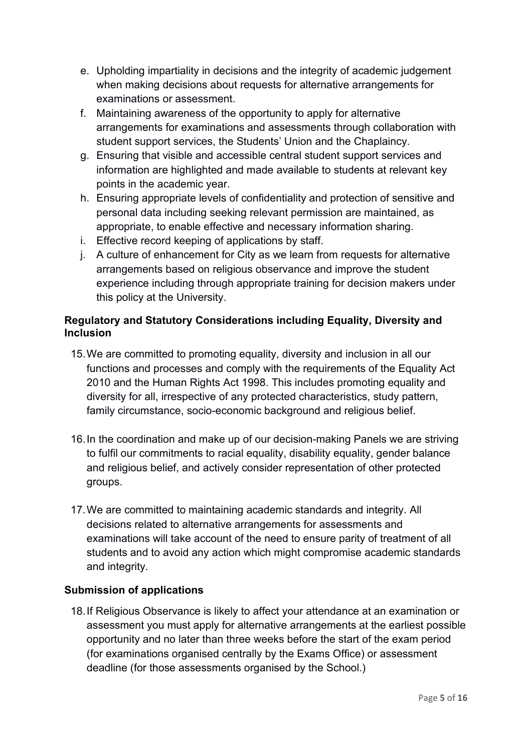- e. Upholding impartiality in decisions and the integrity of academic judgement when making decisions about requests for alternative arrangements for examinations or assessment.
- f. Maintaining awareness of the opportunity to apply for alternative arrangements for examinations and assessments through collaboration with student support services, the Students' Union and the Chaplaincy.
- g. Ensuring that visible and accessible central student support services and information are highlighted and made available to students at relevant key points in the academic year.
- h. Ensuring appropriate levels of confidentiality and protection of sensitive and personal data including seeking relevant permission are maintained, as appropriate, to enable effective and necessary information sharing.
- i. Effective record keeping of applications by staff.
- j. A culture of enhancement for City as we learn from requests for alternative arrangements based on religious observance and improve the student experience including through appropriate training for decision makers under this policy at the University.

# <span id="page-4-0"></span>**Regulatory and Statutory Considerations including Equality, Diversity and Inclusion**

- 15.We are committed to promoting equality, diversity and inclusion in all our functions and processes and comply with the requirements of the Equality Act 2010 and the Human Rights Act 1998. This includes promoting equality and diversity for all, irrespective of any protected characteristics, study pattern, family circumstance, socio-economic background and religious belief.
- 16.In the coordination and make up of our decision-making Panels we are striving to fulfil our commitments to racial equality, disability equality, gender balance and religious belief, and actively consider representation of other protected groups.
- 17.We are committed to maintaining academic standards and integrity. All decisions related to alternative arrangements for assessments and examinations will take account of the need to ensure parity of treatment of all students and to avoid any action which might compromise academic standards and integrity.

# <span id="page-4-1"></span>**Submission of applications**

18.If Religious Observance is likely to affect your attendance at an examination or assessment you must apply for alternative arrangements at the earliest possible opportunity and no later than three weeks before the start of the exam period (for examinations organised centrally by the Exams Office) or assessment deadline (for those assessments organised by the School.)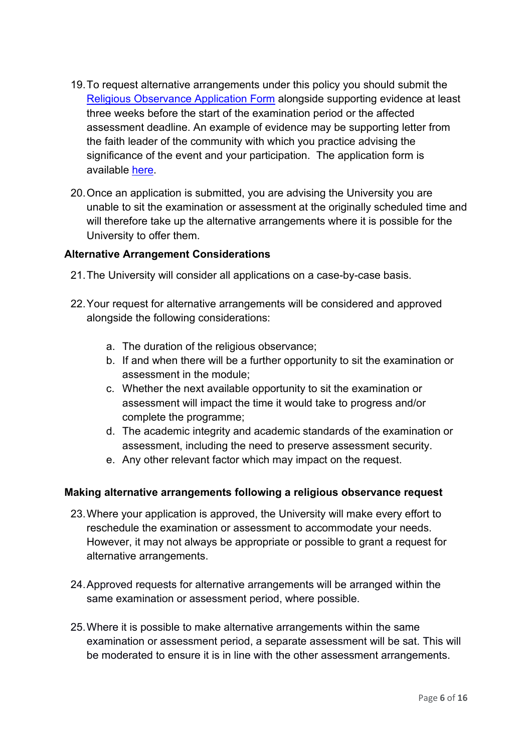- 19.To request alternative arrangements under this policy you should submit the [Religious Observance Application Form](https://studenthub.city.ac.uk/timetabling-term-dates-exams/exams/exam-timetable) alongside supporting evidence at least three weeks before the start of the examination period or the affected assessment deadline. An example of evidence may be supporting letter from the faith leader of the community with which you practice advising the significance of the event and your participation. The application form is available [here.](https://studenthub.city.ac.uk/timetabling-term-dates-exams/exams/exam-timetable)
- 20.Once an application is submitted, you are advising the University you are unable to sit the examination or assessment at the originally scheduled time and will therefore take up the alternative arrangements where it is possible for the University to offer them.

#### <span id="page-5-0"></span>**Alternative Arrangement Considerations**

- 21.The University will consider all applications on a case-by-case basis.
- 22.Your request for alternative arrangements will be considered and approved alongside the following considerations:
	- a. The duration of the religious observance;
	- b. If and when there will be a further opportunity to sit the examination or assessment in the module;
	- c. Whether the next available opportunity to sit the examination or assessment will impact the time it would take to progress and/or complete the programme;
	- d. The academic integrity and academic standards of the examination or assessment, including the need to preserve assessment security.
	- e. Any other relevant factor which may impact on the request.

# <span id="page-5-1"></span>**Making alternative arrangements following a religious observance request**

- 23.Where your application is approved, the University will make every effort to reschedule the examination or assessment to accommodate your needs. However, it may not always be appropriate or possible to grant a request for alternative arrangements.
- 24.Approved requests for alternative arrangements will be arranged within the same examination or assessment period, where possible.
- 25.Where it is possible to make alternative arrangements within the same examination or assessment period, a separate assessment will be sat. This will be moderated to ensure it is in line with the other assessment arrangements.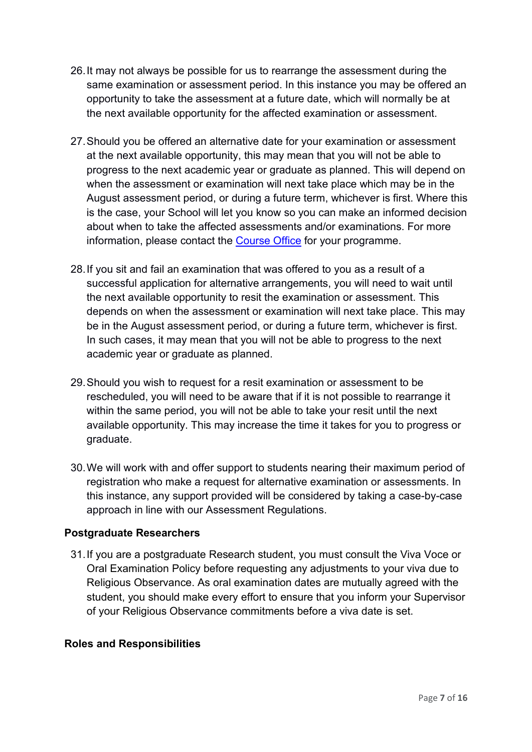- 26.It may not always be possible for us to rearrange the assessment during the same examination or assessment period. In this instance you may be offered an opportunity to take the assessment at a future date, which will normally be at the next available opportunity for the affected examination or assessment.
- 27.Should you be offered an alternative date for your examination or assessment at the next available opportunity, this may mean that you will not be able to progress to the next academic year or graduate as planned. This will depend on when the assessment or examination will next take place which may be in the August assessment period, or during a future term, whichever is first. Where this is the case, your School will let you know so you can make an informed decision about when to take the affected assessments and/or examinations. For more information, please contact the [Course Office](https://studenthub.city.ac.uk/new-students/contact?_ga=2.120691976.1817525488.1627892023-479494405.1614072818) for your programme.
- 28.If you sit and fail an examination that was offered to you as a result of a successful application for alternative arrangements, you will need to wait until the next available opportunity to resit the examination or assessment. This depends on when the assessment or examination will next take place. This may be in the August assessment period, or during a future term, whichever is first. In such cases, it may mean that you will not be able to progress to the next academic year or graduate as planned.
- 29.Should you wish to request for a resit examination or assessment to be rescheduled, you will need to be aware that if it is not possible to rearrange it within the same period, you will not be able to take your resit until the next available opportunity. This may increase the time it takes for you to progress or graduate.
- 30.We will work with and offer support to students nearing their maximum period of registration who make a request for alternative examination or assessments. In this instance, any support provided will be considered by taking a case-by-case approach in line with our Assessment Regulations.

# <span id="page-6-0"></span>**Postgraduate Researchers**

31.If you are a postgraduate Research student, you must consult the Viva Voce or Oral Examination Policy before requesting any adjustments to your viva due to Religious Observance. As oral examination dates are mutually agreed with the student, you should make every effort to ensure that you inform your Supervisor of your Religious Observance commitments before a viva date is set.

#### <span id="page-6-1"></span>**Roles and Responsibilities**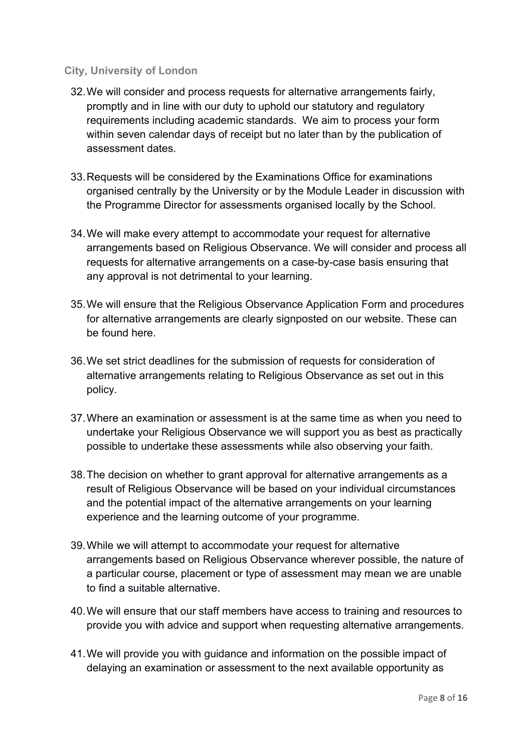#### <span id="page-7-0"></span>**City, University of London**

- 32.We will consider and process requests for alternative arrangements fairly, promptly and in line with our duty to uphold our statutory and regulatory requirements including academic standards. We aim to process your form within seven calendar days of receipt but no later than by the publication of assessment dates.
- 33.Requests will be considered by the Examinations Office for examinations organised centrally by the University or by the Module Leader in discussion with the Programme Director for assessments organised locally by the School.
- 34.We will make every attempt to accommodate your request for alternative arrangements based on Religious Observance. We will consider and process all requests for alternative arrangements on a case-by-case basis ensuring that any approval is not detrimental to your learning.
- 35.We will ensure that the Religious Observance Application Form and procedures for alternative arrangements are clearly signposted on our website. These can be found here.
- 36.We set strict deadlines for the submission of requests for consideration of alternative arrangements relating to Religious Observance as set out in this policy.
- 37.Where an examination or assessment is at the same time as when you need to undertake your Religious Observance we will support you as best as practically possible to undertake these assessments while also observing your faith.
- 38.The decision on whether to grant approval for alternative arrangements as a result of Religious Observance will be based on your individual circumstances and the potential impact of the alternative arrangements on your learning experience and the learning outcome of your programme.
- 39.While we will attempt to accommodate your request for alternative arrangements based on Religious Observance wherever possible, the nature of a particular course, placement or type of assessment may mean we are unable to find a suitable alternative.
- 40.We will ensure that our staff members have access to training and resources to provide you with advice and support when requesting alternative arrangements.
- 41.We will provide you with guidance and information on the possible impact of delaying an examination or assessment to the next available opportunity as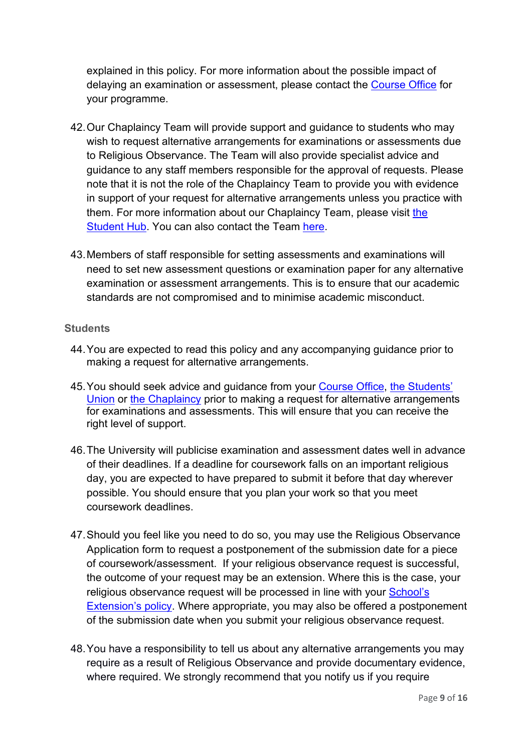explained in this policy. For more information about the possible impact of delaying an examination or assessment, please contact the [Course Office](https://studenthub.city.ac.uk/new-students/contact?_ga=2.120691976.1817525488.1627892023-479494405.1614072818) for your programme.

- 42.Our Chaplaincy Team will provide support and guidance to students who may wish to request alternative arrangements for examinations or assessments due to Religious Observance. The Team will also provide specialist advice and guidance to any staff members responsible for the approval of requests. Please note that it is not the role of the Chaplaincy Team to provide you with evidence in support of your request for alternative arrangements unless you practice with them. For more information about our Chaplaincy Team, please visit [the](https://studenthub.city.ac.uk/student-life/faith-belief-culture/chaplaincy)  [Student Hub.](https://studenthub.city.ac.uk/student-life/faith-belief-culture/chaplaincy) You can also contact the Team [here.](mailto:chaplaincy@city.ac.uk)
- 43.Members of staff responsible for setting assessments and examinations will need to set new assessment questions or examination paper for any alternative examination or assessment arrangements. This is to ensure that our academic standards are not compromised and to minimise academic misconduct.

#### <span id="page-8-0"></span>**Students**

- 44.You are expected to read this policy and any accompanying guidance prior to making a request for alternative arrangements.
- 45.You should seek advice and guidance from your [Course Office,](https://studenthub.city.ac.uk/new-students/contact) [the Students'](https://www.citystudents.co.uk/contactus/)  [Union](https://www.citystudents.co.uk/contactus/) or [the Chaplaincy](https://studenthub.city.ac.uk/student-life/faith-belief-culture/chaplaincy) prior to making a request for alternative arrangements for examinations and assessments. This will ensure that you can receive the right level of support.
- 46.The University will publicise examination and assessment dates well in advance of their deadlines. If a deadline for coursework falls on an important religious day, you are expected to have prepared to submit it before that day wherever possible. You should ensure that you plan your work so that you meet coursework deadlines.
- 47.Should you feel like you need to do so, you may use the Religious Observance Application form to request a postponement of the submission date for a piece of coursework/assessment. If your religious observance request is successful, the outcome of your request may be an extension. Where this is the case, your religious observance request will be processed in line with your School's **[Extension's policy.](#page-13-2)** Where appropriate, you may also be offered a postponement of the submission date when you submit your religious observance request.
- 48.You have a responsibility to tell us about any alternative arrangements you may require as a result of Religious Observance and provide documentary evidence, where required. We strongly recommend that you notify us if you require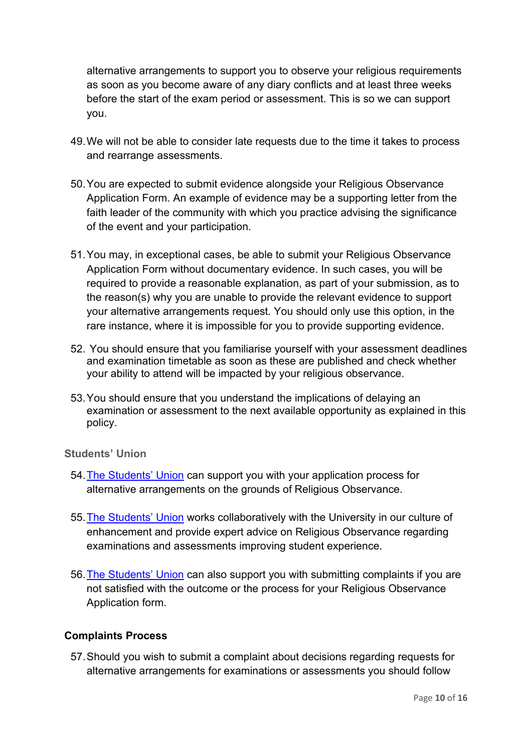alternative arrangements to support you to observe your religious requirements as soon as you become aware of any diary conflicts and at least three weeks before the start of the exam period or assessment. This is so we can support you.

- 49.We will not be able to consider late requests due to the time it takes to process and rearrange assessments.
- 50.You are expected to submit evidence alongside your Religious Observance Application Form. An example of evidence may be a supporting letter from the faith leader of the community with which you practice advising the significance of the event and your participation.
- 51.You may, in exceptional cases, be able to submit your Religious Observance Application Form without documentary evidence. In such cases, you will be required to provide a reasonable explanation, as part of your submission, as to the reason(s) why you are unable to provide the relevant evidence to support your alternative arrangements request. You should only use this option, in the rare instance, where it is impossible for you to provide supporting evidence.
- 52. You should ensure that you familiarise yourself with your assessment deadlines and examination timetable as soon as these are published and check whether your ability to attend will be impacted by your religious observance.
- 53.You should ensure that you understand the implications of delaying an examination or assessment to the next available opportunity as explained in this policy.

#### <span id="page-9-0"></span>**Students' Union**

- 54[.The Students' Union](https://www.citystudents.co.uk/contactus/) can support you with your application process for alternative arrangements on the grounds of Religious Observance.
- 55[.The Students' Union](https://www.citystudents.co.uk/contactus/) works collaboratively with the University in our culture of enhancement and provide expert advice on Religious Observance regarding examinations and assessments improving student experience.
- 56[.The Students' Union](https://www.citystudents.co.uk/contactus/) can also support you with submitting complaints if you are not satisfied with the outcome or the process for your Religious Observance Application form.

#### <span id="page-9-1"></span>**Complaints Process**

57.Should you wish to submit a complaint about decisions regarding requests for alternative arrangements for examinations or assessments you should follow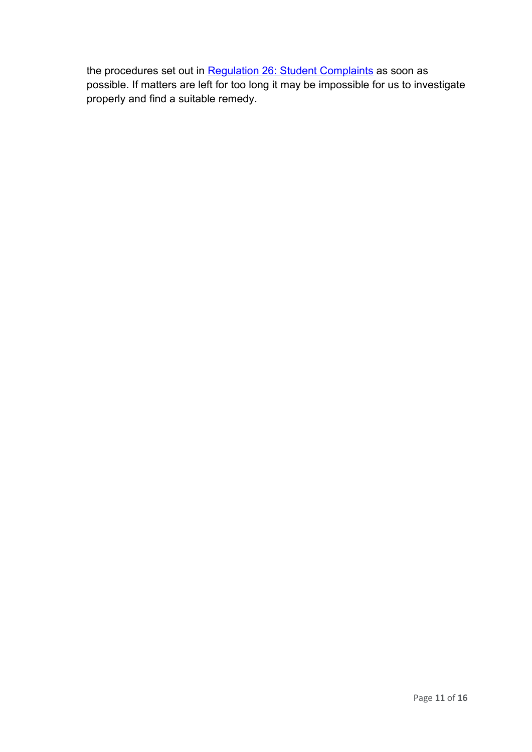the procedures set out in [Regulation 26: Student Complaints](https://www.city.ac.uk/about/governance/policies/student-policies-and-regulations) as soon as possible. If matters are left for too long it may be impossible for us to investigate properly and find a suitable remedy.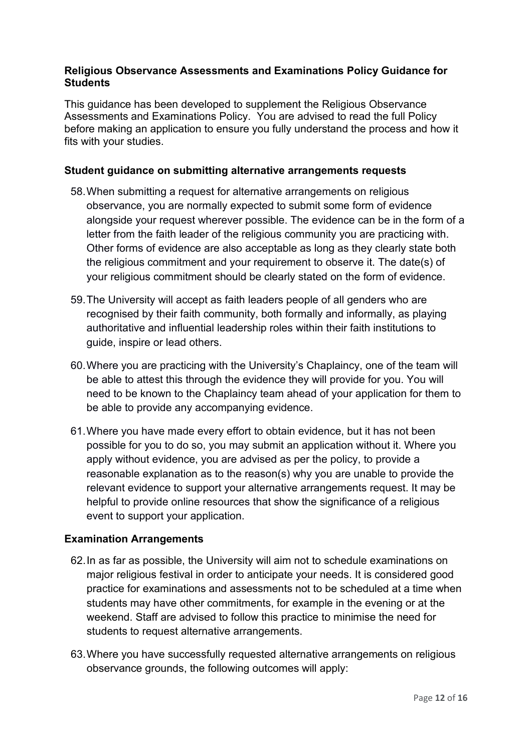#### <span id="page-11-0"></span>**Religious Observance Assessments and Examinations Policy Guidance for Students**

This guidance has been developed to supplement the Religious Observance Assessments and Examinations Policy. You are advised to read the full Policy before making an application to ensure you fully understand the process and how it fits with your studies.

#### <span id="page-11-1"></span>**Student guidance on submitting alternative arrangements requests**

- 58.When submitting a request for alternative arrangements on religious observance, you are normally expected to submit some form of evidence alongside your request wherever possible. The evidence can be in the form of a letter from the faith leader of the religious community you are practicing with. Other forms of evidence are also acceptable as long as they clearly state both the religious commitment and your requirement to observe it. The date(s) of your religious commitment should be clearly stated on the form of evidence.
- 59.The University will accept as faith leaders people of all genders who are recognised by their faith community, both formally and informally, as playing authoritative and influential leadership roles within their faith institutions to guide, inspire or lead others.
- 60.Where you are practicing with the University's Chaplaincy, one of the team will be able to attest this through the evidence they will provide for you. You will need to be known to the Chaplaincy team ahead of your application for them to be able to provide any accompanying evidence.
- 61.Where you have made every effort to obtain evidence, but it has not been possible for you to do so, you may submit an application without it. Where you apply without evidence, you are advised as per the policy, to provide a reasonable explanation as to the reason(s) why you are unable to provide the relevant evidence to support your alternative arrangements request. It may be helpful to provide online resources that show the significance of a religious event to support your application.

#### <span id="page-11-2"></span>**Examination Arrangements**

- 62.In as far as possible, the University will aim not to schedule examinations on major religious festival in order to anticipate your needs. It is considered good practice for examinations and assessments not to be scheduled at a time when students may have other commitments, for example in the evening or at the weekend. Staff are advised to follow this practice to minimise the need for students to request alternative arrangements.
- 63.Where you have successfully requested alternative arrangements on religious observance grounds, the following outcomes will apply: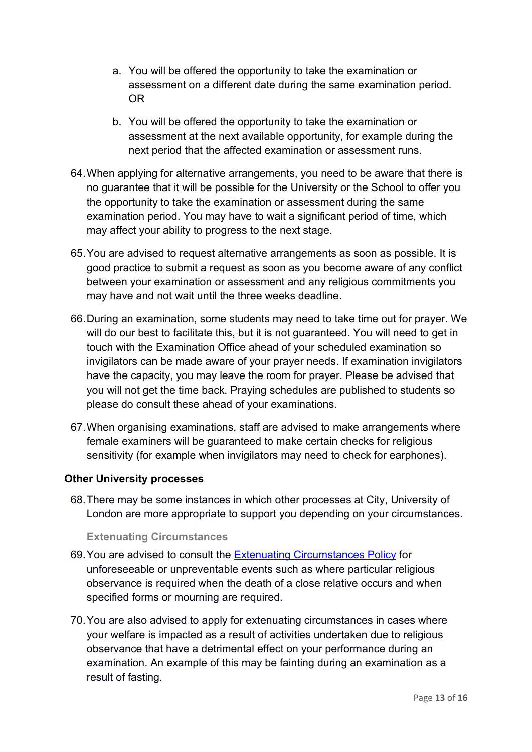- a. You will be offered the opportunity to take the examination or assessment on a different date during the same examination period. OR
- b. You will be offered the opportunity to take the examination or assessment at the next available opportunity, for example during the next period that the affected examination or assessment runs.
- 64.When applying for alternative arrangements, you need to be aware that there is no guarantee that it will be possible for the University or the School to offer you the opportunity to take the examination or assessment during the same examination period. You may have to wait a significant period of time, which may affect your ability to progress to the next stage.
- 65.You are advised to request alternative arrangements as soon as possible. It is good practice to submit a request as soon as you become aware of any conflict between your examination or assessment and any religious commitments you may have and not wait until the three weeks deadline.
- 66.During an examination, some students may need to take time out for prayer. We will do our best to facilitate this, but it is not guaranteed. You will need to get in touch with the Examination Office ahead of your scheduled examination so invigilators can be made aware of your prayer needs. If examination invigilators have the capacity, you may leave the room for prayer. Please be advised that you will not get the time back. Praying schedules are published to students so please do consult these ahead of your examinations.
- 67.When organising examinations, staff are advised to make arrangements where female examiners will be guaranteed to make certain checks for religious sensitivity (for example when invigilators may need to check for earphones).

# <span id="page-12-0"></span>**Other University processes**

68.There may be some instances in which other processes at City, University of London are more appropriate to support you depending on your circumstances.

#### **Extenuating Circumstances**

- <span id="page-12-1"></span>69.You are advised to consult the [Extenuating Circumstances Policy](https://www.city.ac.uk/__data/assets/pdf_file/0005/372794/Extenuating-Circumstances-Policy-2020-21-for-Publication.pdf) for unforeseeable or unpreventable events such as where particular religious observance is required when the death of a close relative occurs and when specified forms or mourning are required.
- 70.You are also advised to apply for extenuating circumstances in cases where your welfare is impacted as a result of activities undertaken due to religious observance that have a detrimental effect on your performance during an examination. An example of this may be fainting during an examination as a result of fasting.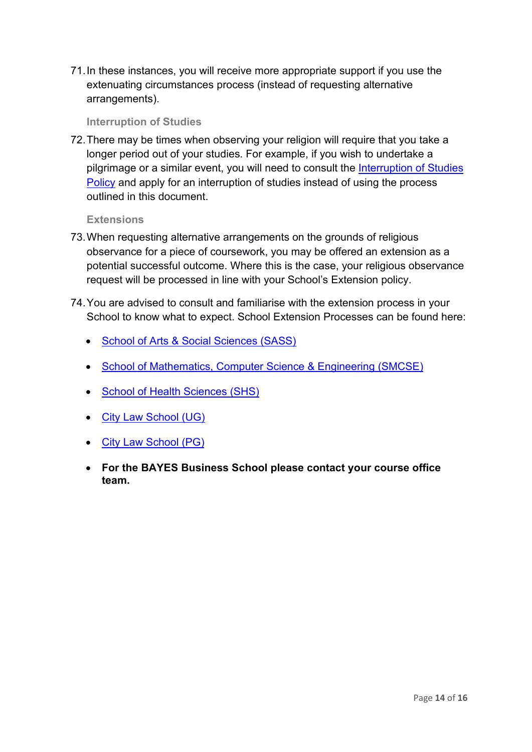71.In these instances, you will receive more appropriate support if you use the extenuating circumstances process (instead of requesting alternative arrangements).

#### **Interruption of Studies**

<span id="page-13-0"></span>72.There may be times when observing your religion will require that you take a longer period out of your studies. For example, if you wish to undertake a pilgrimage or a similar event, you will need to consult the Interruption of Studies [Policy](https://www.city.ac.uk/__data/assets/pdf_file/0011/283088/Interruption-of-studies-policy.pdf) and apply for an interruption of studies instead of using the process outlined in this document.

## **Extensions**

- <span id="page-13-1"></span>73.When requesting alternative arrangements on the grounds of religious observance for a piece of coursework, you may be offered an extension as a potential successful outcome. Where this is the case, your religious observance request will be processed in line with your School's Extension policy.
- <span id="page-13-2"></span>74.You are advised to consult and familiarise with the extension process in your School to know what to expect. School Extension Processes can be found here:
	- [School of Arts & Social Sciences \(SASS\)](https://cityunilondon.eu.qualtrics.com/jfe/form/SV_8BbdwD0Hwp0HvH7)
	- [School of Mathematics, Computer](https://cityuni-my.sharepoint.com/personal/smcse-extension_city_ac_uk/_layouts/15/onedrive.aspx?id=%2Fpersonal%2Fsmcse%2Dextension%5Fcity%5Fac%5Fuk%2FDocuments%2FSMCSE%20Extensions%20Policy%2Epdf&parent=%2Fpersonal%2Fsmcse%2Dextension%5Fcity%5Fac%5Fuk%2FDocuments&originalPath=aHR0cHM6Ly9jaXR5dW5pLW15LnNoYXJlcG9pbnQuY29tLzpiOi9nL3BlcnNvbmFsL3NtY3NlLWV4dGVuc2lvbl9jaXR5X2FjX3VrL0ViV3pFTG9LOFhSSHRsLTZTS0lfSmdzQkhPeUl4V1laZnp3ZVkxMmJQRFhOX1E%5FcnRpbWU9NkxJX1dvYmQyRWc) Science & Engineering (SMCSE)
	- [School of Health Sciences \(SHS\)](https://moodle.city.ac.uk/pluginfile.php/1594048/mod_book/chapter/37794/1.%20SHS%20Extensions%20Process%202020-21.pdf)
	- [City Law School \(UG\)](https://moodle.city.ac.uk/course/view.php?id=39464)
	- [City Law School \(PG\)](https://cityunilondon.eu.qualtrics.com/jfe/form/SV_elzhRu7MCE7fSrr)
	- **For the BAYES Business School please contact your course office team.**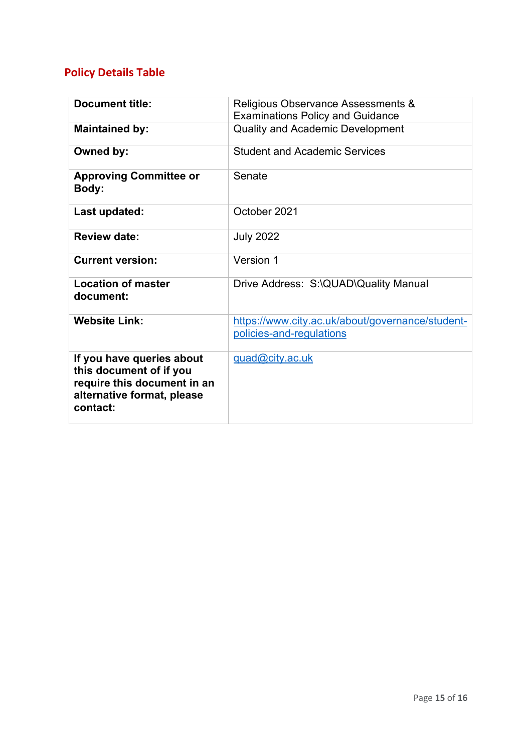# **Policy Details Table**

| <b>Document title:</b>                                                                                                        | Religious Observance Assessments &<br><b>Examinations Policy and Guidance</b> |
|-------------------------------------------------------------------------------------------------------------------------------|-------------------------------------------------------------------------------|
| <b>Maintained by:</b>                                                                                                         | <b>Quality and Academic Development</b>                                       |
| Owned by:                                                                                                                     | <b>Student and Academic Services</b>                                          |
| <b>Approving Committee or</b><br>Body:                                                                                        | Senate                                                                        |
| Last updated:                                                                                                                 | October 2021                                                                  |
| <b>Review date:</b>                                                                                                           | <b>July 2022</b>                                                              |
| <b>Current version:</b>                                                                                                       | Version 1                                                                     |
| <b>Location of master</b><br>document:                                                                                        | Drive Address: S:\QUAD\Quality Manual                                         |
| <b>Website Link:</b>                                                                                                          | https://www.city.ac.uk/about/governance/student-<br>policies-and-regulations  |
| If you have queries about<br>this document of if you<br>require this document in an<br>alternative format, please<br>contact: | guad@city.ac.uk                                                               |